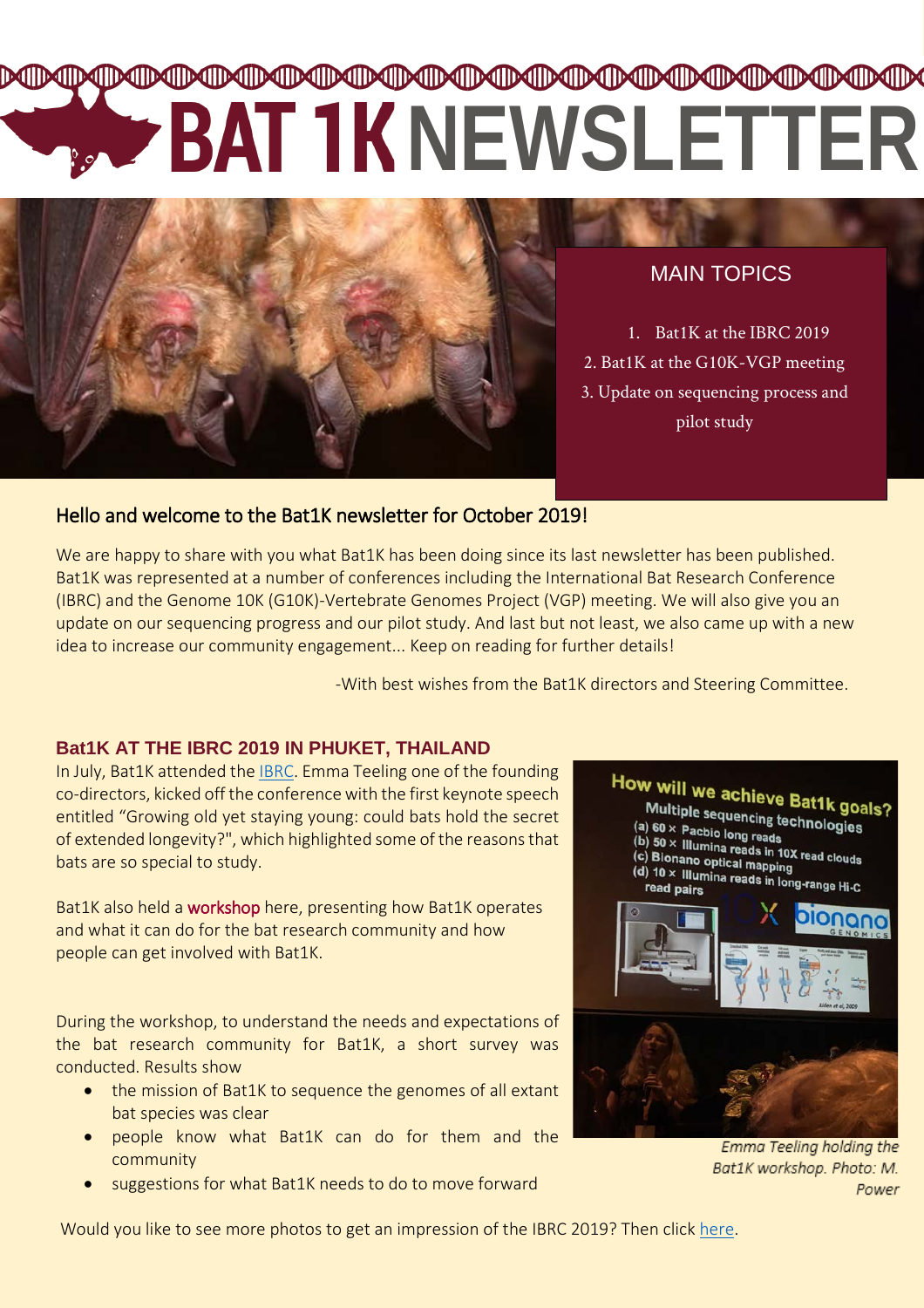# **๛ฃ๛ฃ๛ฃ๛ฃ๛ฃ๛ฃ๛ฃ๛ฃ๛ฃ๛ฃ๛ฃ๛ฃ๛ฃ๛ฃ๛ฃ๛**ฃ **NEWSLETTER**



MAIN TOPICS

1. Bat1K at the IBRC 2019 2. Bat1K at the G10K-VGP meeting 3. Update on sequencing process and pilot study

## Hello and welcome to the Bat1K newsletter for October 2019!

We are happy to share with you what Bat1K has been doing since its last newsletter has been published. Bat1K was represented at a number of conferences including the International Bat Research Conference (IBRC) and the Genome 10K (G10K)-Vertebrate Genomes Project (VGP) meeting. We will also give you an update on our sequencing progress and our pilot study. And last but not least, we also came up with a new idea to increase our community engagement... Keep on reading for further details!

-With best wishes from the Bat1K directors and Steering Committee.

### **Bat1K AT THE IBRC 2019 IN PHUKET, THAILAND**

In July, Bat1K attended the [IBRC.](https://ibrc2019.com/) Emma Teeling one of the founding co-directors, kicked off the conference with the first keynote speech entitled "Growing old yet staying young: could bats hold the secret of extended longevity?", which highlighted some of the reasons that bats are so special to study.

Bat1K also held a workshop here, presenting how Bat1K operates and what it can do for the bat research community and how people can get involved with Bat1K.

During the workshop, to understand the needs and expectations of the bat research community for Bat1K, a short survey was conducted. Results show

- the mission of Bat1K to sequence the genomes of all extant bat species was clear
- people know what Bat1K can do for them and the community
- suggestions for what Bat1K needs to do to move forward



Emma Teeling holding the Bat1K workshop. Photo: M. Power

Would you like to see more photos to get an impression of the IBRC 2019? Then click [here.](https://drive.google.com/drive/folders/1iJ-pwt_Y9PrAto4nZd-5An9aQ8UqOCzy)